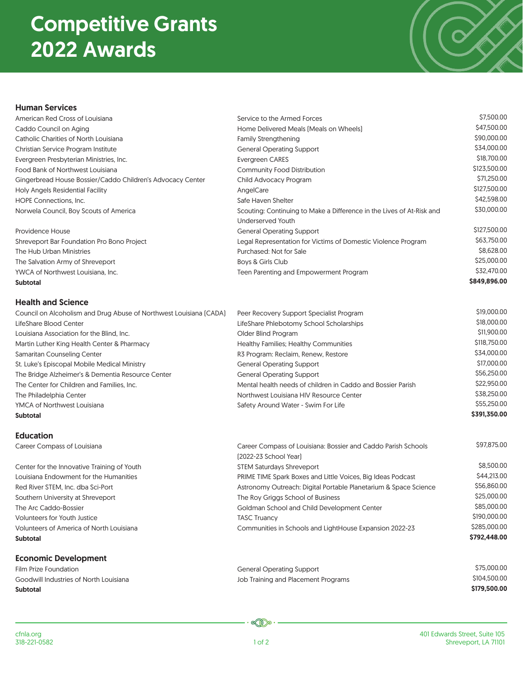### Competitive Grants 2022 Awards

# ノ

#### Human Services

| American Red Cross of Louisiana                                    | Service to the Armed Forces                                                            | \$7,500.00   |
|--------------------------------------------------------------------|----------------------------------------------------------------------------------------|--------------|
| Caddo Council on Aging                                             | Home Delivered Meals (Meals on Wheels)                                                 | \$47,500.00  |
| Catholic Charities of North Louisiana                              | <b>Family Strengthening</b>                                                            | \$90,000.00  |
| Christian Service Program Institute                                | <b>General Operating Support</b>                                                       | \$34,000.00  |
| Evergreen Presbyterian Ministries, Inc.                            | <b>Evergreen CARES</b>                                                                 | \$18,700.00  |
| Food Bank of Northwest Louisiana                                   | Community Food Distribution                                                            | \$123,500.00 |
| Gingerbread House Bossier/Caddo Children's Advocacy Center         | Child Advocacy Program                                                                 | \$71,250.00  |
| Holy Angels Residential Facility                                   | AngelCare                                                                              | \$127,500.00 |
| HOPE Connections, Inc.                                             | Safe Haven Shelter                                                                     | \$42,598.00  |
| Norwela Council, Boy Scouts of America                             | Scouting: Continuing to Make a Difference in the Lives of At-Risk and                  | \$30,000.00  |
|                                                                    | <b>Underserved Youth</b>                                                               |              |
| Providence House                                                   | <b>General Operating Support</b>                                                       | \$127,500.00 |
| Shreveport Bar Foundation Pro Bono Project                         | Legal Representation for Victims of Domestic Violence Program                          | \$63,750.00  |
| The Hub Urban Ministries                                           | Purchased: Not for Sale                                                                | \$8,628.00   |
| The Salvation Army of Shreveport                                   | Boys & Girls Club                                                                      | \$25,000.00  |
| YWCA of Northwest Louisiana, Inc.                                  | Teen Parenting and Empowerment Program                                                 | \$32,470.00  |
| <b>Subtotal</b>                                                    |                                                                                        | \$849,896.00 |
| <b>Health and Science</b>                                          |                                                                                        |              |
| Council on Alcoholism and Drug Abuse of Northwest Louisiana [CADA] | Peer Recovery Support Specialist Program                                               | \$19,000.00  |
| LifeShare Blood Center                                             | LifeShare Phlebotomy School Scholarships                                               | \$18,000.00  |
| Louisiana Association for the Blind, Inc.                          | Older Blind Program                                                                    | \$11,900.00  |
| Martin Luther King Health Center & Pharmacy                        | Healthy Families; Healthy Communities                                                  | \$118,750.00 |
| Samaritan Counseling Center                                        | R3 Program: Reclaim, Renew, Restore                                                    | \$34,000.00  |
| St. Luke's Episcopal Mobile Medical Ministry                       | <b>General Operating Support</b>                                                       | \$17,000.00  |
| The Bridge Alzheimer's & Dementia Resource Center                  | <b>General Operating Support</b>                                                       | \$56,250.00  |
| The Center for Children and Families, Inc.                         | Mental health needs of children in Caddo and Bossier Parish                            | \$22,950.00  |
| The Philadelphia Center                                            | Northwest Louisiana HIV Resource Center                                                | \$38,250.00  |
| YMCA of Northwest Louisiana                                        | Safety Around Water - Swim For Life                                                    | \$55,250.00  |
| <b>Subtotal</b>                                                    |                                                                                        | \$391,350.00 |
| <b>Education</b>                                                   |                                                                                        |              |
| Career Compass of Louisiana                                        | Career Compass of Louisiana: Bossier and Caddo Parish Schools<br>[2022-23 School Year] | \$97,875.00  |
| Center for the Innovative Training of Youth                        | <b>STEM Saturdays Shreveport</b>                                                       | \$8,500.00   |
| Louisiana Endowment for the Humanities                             | PRIME TIME Spark Boxes and Little Voices, Big Ideas Podcast                            | \$44,213.00  |
| Red River STEM, Inc. dba Sci-Port                                  | Astronomy Outreach: Digital Portable Planetarium & Space Science                       | \$56,860.00  |
| Southern University at Shreveport                                  | The Roy Griggs School of Business                                                      | \$25,000.00  |
| The Arc Caddo-Bossier                                              | Goldman School and Child Development Center                                            | \$85,000.00  |
| <b>Volunteers for Youth Justice</b>                                | <b>TASC Truancy</b>                                                                    | \$190,000.00 |
| Volunteers of America of North Louisiana                           | Communities in Schools and LightHouse Expansion 2022-23                                | \$285,000.00 |
| <b>Subtotal</b>                                                    |                                                                                        | \$792,448.00 |
| <b>Economic Development</b>                                        |                                                                                        |              |
| Film Prize Foundation                                              | <b>General Operating Support</b>                                                       | \$75,000.00  |
| Goodwill Industries of North Louisiana                             | Job Training and Placement Programs                                                    | \$104,500.00 |
| <b>Subtotal</b>                                                    |                                                                                        | \$179,500.00 |